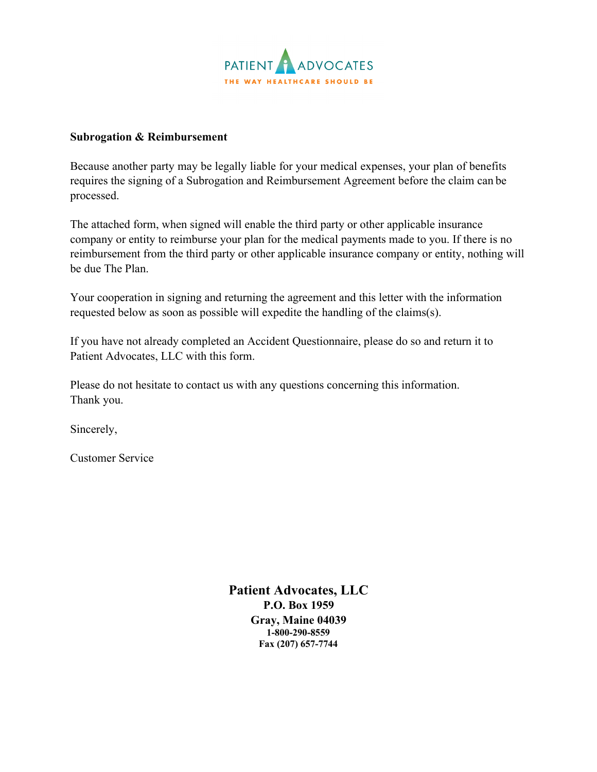

## **Subrogation & Reimbursement**

Because another party may be legally liable for your medical expenses, your plan of benefits requires the signing of a Subrogation and Reimbursement Agreement before the claim can be processed.

The attached form, when signed will enable the third party or other applicable insurance company or entity to reimburse your plan for the medical payments made to you. If there is no reimbursement from the third party or other applicable insurance company or entity, nothing will be due The Plan.

Your cooperation in signing and returning the agreement and this letter with the information requested below as soon as possible will expedite the handling of the claims(s).

If you have not already completed an Accident Questionnaire, please do so and return it to Patient Advocates, LLC with this form.

Please do not hesitate to contact us with any questions concerning this information. Thank you.

Sincerely,

Customer Service

**Patient Advocates, LLC P.O. Box 1959 Gray, Maine 04039 1-800-290-8559 Fax (207) 657-7744**